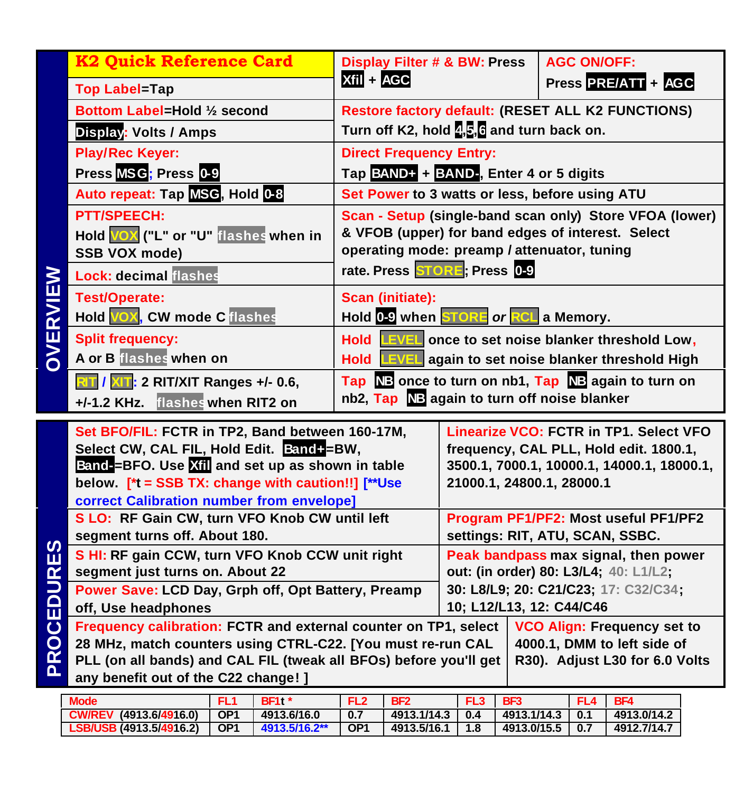|                   | <b>K2 Quick Reference Card</b>                                                                                                                                                                      | <b>Display Filter # &amp; BW: Press</b>                    |                                                                   | <b>AGC ON/OFF:</b>                     |  |  |  |
|-------------------|-----------------------------------------------------------------------------------------------------------------------------------------------------------------------------------------------------|------------------------------------------------------------|-------------------------------------------------------------------|----------------------------------------|--|--|--|
|                   | <b>Top Label=Tap</b>                                                                                                                                                                                | Xfil + AGC                                                 |                                                                   | Press PRE/ATT + AGC                    |  |  |  |
|                   | Bottom Label=Hold 1/2 second                                                                                                                                                                        | Restore factory default: (RESET ALL K2 FUNCTIONS)          |                                                                   |                                        |  |  |  |
|                   | <b>Display: Volts / Amps</b>                                                                                                                                                                        |                                                            | Turn off K2, hold $\frac{1}{2}$ , $\frac{1}{2}$ and turn back on. |                                        |  |  |  |
|                   | <b>Play/Rec Keyer:</b>                                                                                                                                                                              | <b>Direct Frequency Entry:</b>                             |                                                                   |                                        |  |  |  |
|                   | Press MSG; Press 0-9                                                                                                                                                                                | Tap BAND+ + BAND-, Enter 4 or 5 digits                     |                                                                   |                                        |  |  |  |
|                   | Auto repeat: Tap MSG, Hold 0-8                                                                                                                                                                      | Set Power to 3 watts or less, before using ATU             |                                                                   |                                        |  |  |  |
|                   | <b>PTT/SPEECH:</b>                                                                                                                                                                                  | Scan - Setup (single-band scan only) Store VFOA (lower)    |                                                                   |                                        |  |  |  |
|                   | Hold VOX ("L" or "U" flashes when in                                                                                                                                                                | & VFOB (upper) for band edges of interest. Select          |                                                                   |                                        |  |  |  |
|                   | <b>SSB VOX mode)</b>                                                                                                                                                                                | operating mode: preamp / attenuator, tuning                |                                                                   |                                        |  |  |  |
| OVERVIEW          | <b>Lock: decimal flashes</b>                                                                                                                                                                        | rate. Press STORE; Press 0-9                               |                                                                   |                                        |  |  |  |
|                   | <b>Test/Operate:</b>                                                                                                                                                                                | <b>Scan (initiate):</b>                                    |                                                                   |                                        |  |  |  |
|                   | Hold VOX, CW mode C flashes                                                                                                                                                                         | Hold 0-9 when STORE or RCL a Memory.                       |                                                                   |                                        |  |  |  |
|                   | <b>Split frequency:</b>                                                                                                                                                                             | Hold <b>EVEL</b> once to set noise blanker threshold Low,  |                                                                   |                                        |  |  |  |
|                   | A or B flashes when on                                                                                                                                                                              | Hold <b>EVEL</b> again to set noise blanker threshold High |                                                                   |                                        |  |  |  |
|                   | Tap NB once to turn on nb1, Tap NB again to turn on<br><b>RIT / XIT: 2 RIT/XIT Ranges +/- 0.6,</b>                                                                                                  |                                                            |                                                                   |                                        |  |  |  |
|                   | nb2, Tap NB again to turn off noise blanker<br>+/-1.2 KHz. flashes when RIT2 on                                                                                                                     |                                                            |                                                                   |                                        |  |  |  |
|                   | Set BFO/FIL: FCTR in TP2, Band between 160-17M,                                                                                                                                                     |                                                            |                                                                   | Linearize VCO: FCTR in TP1. Select VFO |  |  |  |
|                   | Select CW, CAL FIL, Hold Edit. Band+=BW,                                                                                                                                                            | frequency, CAL PLL, Hold edit. 1800.1,                     |                                                                   |                                        |  |  |  |
|                   | Band-BFO. Use Xill and set up as shown in table                                                                                                                                                     | 3500.1, 7000.1, 10000.1, 14000.1, 18000.1,                 |                                                                   |                                        |  |  |  |
|                   | below. [*t = SSB TX: change with caution!!] [**Use                                                                                                                                                  | 21000.1, 24800.1, 28000.1                                  |                                                                   |                                        |  |  |  |
|                   | correct Calibration number from envelope]<br>S LO: RF Gain CW, turn VFO Knob CW until left                                                                                                          | Program PF1/PF2: Most useful PF1/PF2                       |                                                                   |                                        |  |  |  |
| <b>PROCEDURES</b> | segment turns off. About 180.                                                                                                                                                                       | settings: RIT, ATU, SCAN, SSBC.                            |                                                                   |                                        |  |  |  |
|                   | S HI: RF gain CCW, turn VFO Knob CCW unit right                                                                                                                                                     | Peak bandpass max signal, then power                       |                                                                   |                                        |  |  |  |
|                   | segment just turns on. About 22                                                                                                                                                                     | out: (in order) 80: L3/L4; 40: L1/L2;                      |                                                                   |                                        |  |  |  |
|                   | Power Save: LCD Day, Grph off, Opt Battery, Preamp                                                                                                                                                  | 30: L8/L9; 20: C21/C23; 17: C32/C34;                       |                                                                   |                                        |  |  |  |
|                   | 10; L12/L13, 12: C44/C46<br>off, Use headphones                                                                                                                                                     |                                                            |                                                                   |                                        |  |  |  |
|                   | Frequency calibration: FCTR and external counter on TP1, select<br><b>VCO Align: Frequency set to</b><br>28 MHz, match counters using CTRL-C22. [You must re-run CAL<br>4000.1, DMM to left side of |                                                            |                                                                   |                                        |  |  |  |
|                   | PLL (on all bands) and CAL FIL (tweak all BFOs) before you'll get<br>R30). Adjust L30 for 6.0 Volts                                                                                                 |                                                            |                                                                   |                                        |  |  |  |
|                   | any benefit out of the C22 change! ]                                                                                                                                                                |                                                            |                                                                   |                                        |  |  |  |
|                   | <b>Mode</b><br><b>BF1t</b> *<br>FL <sub>1</sub>                                                                                                                                                     | FL <sub>2</sub><br>IBF2                                    | FL3 BF3                                                           | FL4 BF4                                |  |  |  |

**CW/REV (4913.6/4916.0) OP1 4913.6/16.0 0.7 4913.1/14.3 0.4 4913.1/14.3 0.1 4913.0/14.2 LSB/USB (4913.5/4916.2) OP1 4913.5/16.2\*\* OP1 4913.5/16.1 1.8 4913.0/15.5 0.7 4912.7/14.7**